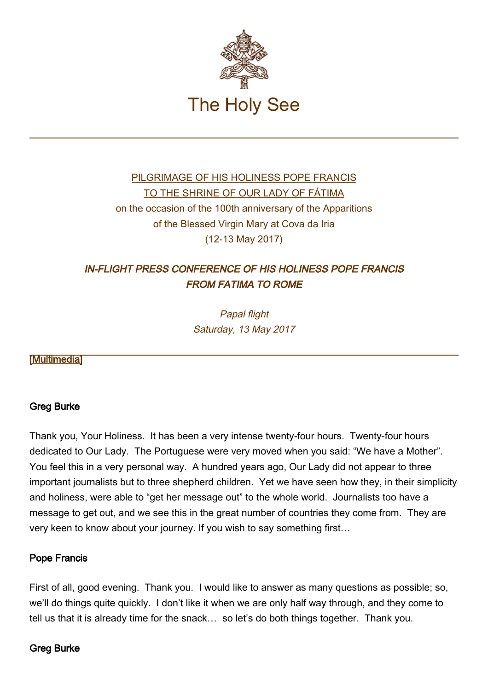

# [PILGRIMAGE OF HIS HOLINESS POPE FRANCIS](http://w2.vatican.va/content/francesco/en/travels/2017/outside/documents/papa-francesco-fatima_2017.html) [TO THE SHRINE OF OUR LADY OF FÁTIMA](http://w2.vatican.va/content/francesco/en/travels/2017/outside/documents/papa-francesco-fatima_2017.html) on the occasion of the 100th anniversary of the Apparitions of the Blessed Virgin Mary at Cova da Iria (12-13 May 2017)

# IN-FLIGHT PRESS CONFERENCE OF HIS HOLINESS POPE FRANCIS FROM FATIMA TO ROME

Papal flight Saturday, 13 May 2017

# [\[Multimedia](http://w2.vatican.va/content/francesco/en/events/event.dir.html/content/vaticanevents/en/2017/5/13/voloritorno-fatima.html)]

# Greg Burke

Thank you, Your Holiness. It has been a very intense twenty-four hours. Twenty-four hours dedicated to Our Lady. The Portuguese were very moved when you said: "We have a Mother". You feel this in a very personal way. A hundred years ago, Our Lady did not appear to three important journalists but to three shepherd children. Yet we have seen how they, in their simplicity and holiness, were able to "get her message out" to the whole world. Journalists too have a message to get out, and we see this in the great number of countries they come from. They are very keen to know about your journey. If you wish to say something first…

### Pope Francis

First of all, good evening. Thank you. I would like to answer as many questions as possible; so, we'll do things quite quickly. I don't like it when we are only half way through, and they come to tell us that it is already time for the snack… so let's do both things together. Thank you.

# Greg Burke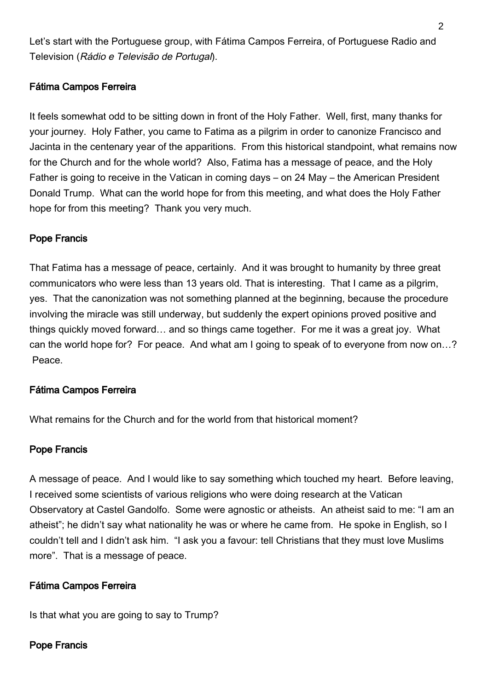Let's start with the Portuguese group, with Fátima Campos Ferreira, of Portuguese Radio and Television (Rádio e Televisão de Portugal).

# Fátima Campos Ferreira

It feels somewhat odd to be sitting down in front of the Holy Father. Well, first, many thanks for your journey. Holy Father, you came to Fatima as a pilgrim in order to canonize Francisco and Jacinta in the centenary year of the apparitions. From this historical standpoint, what remains now for the Church and for the whole world? Also, Fatima has a message of peace, and the Holy Father is going to receive in the Vatican in coming days – on 24 May – the American President Donald Trump. What can the world hope for from this meeting, and what does the Holy Father hope for from this meeting? Thank you very much.

### Pope Francis

That Fatima has a message of peace, certainly. And it was brought to humanity by three great communicators who were less than 13 years old. That is interesting. That I came as a pilgrim, yes. That the canonization was not something planned at the beginning, because the procedure involving the miracle was still underway, but suddenly the expert opinions proved positive and things quickly moved forward… and so things came together. For me it was a great joy. What can the world hope for? For peace. And what am I going to speak of to everyone from now on…? Peace.

### Fátima Campos Ferreira

What remains for the Church and for the world from that historical moment?

### Pope Francis

A message of peace. And I would like to say something which touched my heart. Before leaving, I received some scientists of various religions who were doing research at the Vatican Observatory at Castel Gandolfo. Some were agnostic or atheists. An atheist said to me: "I am an atheist"; he didn't say what nationality he was or where he came from. He spoke in English, so I couldn't tell and I didn't ask him. "I ask you a favour: tell Christians that they must love Muslims more". That is a message of peace.

### Fátima Campos Ferreira

Is that what you are going to say to Trump?

### Pope Francis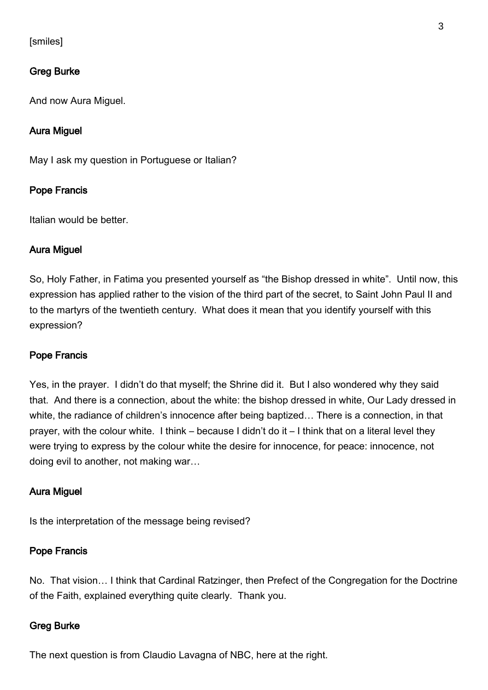# [smiles]

### Greg Burke

And now Aura Miguel.

### Aura Miguel

May I ask my question in Portuguese or Italian?

#### Pope Francis

Italian would be better.

### Aura Miguel

So, Holy Father, in Fatima you presented yourself as "the Bishop dressed in white". Until now, this expression has applied rather to the vision of the third part of the secret, to Saint John Paul II and to the martyrs of the twentieth century. What does it mean that you identify yourself with this expression?

#### Pope Francis

Yes, in the prayer. I didn't do that myself; the Shrine did it. But I also wondered why they said that. And there is a connection, about the white: the bishop dressed in white, Our Lady dressed in white, the radiance of children's innocence after being baptized… There is a connection, in that prayer, with the colour white. I think – because I didn't do it – I think that on a literal level they were trying to express by the colour white the desire for innocence, for peace: innocence, not doing evil to another, not making war…

#### Aura Miguel

Is the interpretation of the message being revised?

### Pope Francis

No. That vision… I think that Cardinal Ratzinger, then Prefect of the Congregation for the Doctrine of the Faith, explained everything quite clearly. Thank you.

# Greg Burke

The next question is from Claudio Lavagna of NBC, here at the right.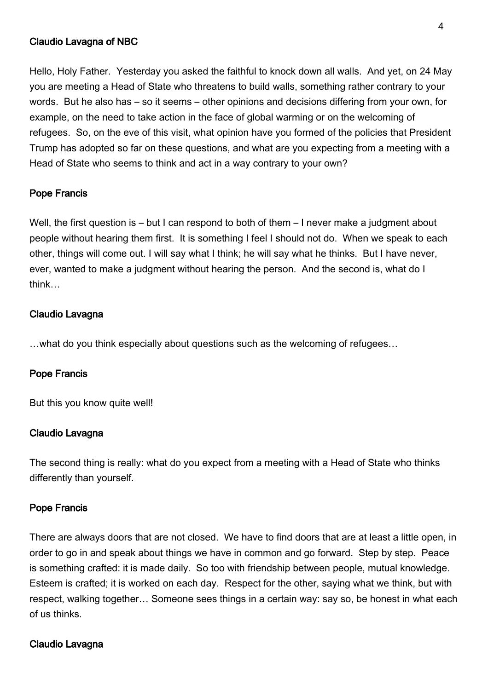### Claudio Lavagna of NBC

Hello, Holy Father. Yesterday you asked the faithful to knock down all walls. And yet, on 24 May you are meeting a Head of State who threatens to build walls, something rather contrary to your words. But he also has – so it seems – other opinions and decisions differing from your own, for example, on the need to take action in the face of global warming or on the welcoming of refugees. So, on the eve of this visit, what opinion have you formed of the policies that President Trump has adopted so far on these questions, and what are you expecting from a meeting with a Head of State who seems to think and act in a way contrary to your own?

### Pope Francis

Well, the first question is – but I can respond to both of them – I never make a judgment about people without hearing them first. It is something I feel I should not do. When we speak to each other, things will come out. I will say what I think; he will say what he thinks. But I have never, ever, wanted to make a judgment without hearing the person. And the second is, what do I think…

### Claudio Lavagna

…what do you think especially about questions such as the welcoming of refugees…

### Pope Francis

But this you know quite well!

#### Claudio Lavagna

The second thing is really: what do you expect from a meeting with a Head of State who thinks differently than yourself.

#### Pope Francis

There are always doors that are not closed. We have to find doors that are at least a little open, in order to go in and speak about things we have in common and go forward. Step by step. Peace is something crafted: it is made daily. So too with friendship between people, mutual knowledge. Esteem is crafted; it is worked on each day. Respect for the other, saying what we think, but with respect, walking together… Someone sees things in a certain way: say so, be honest in what each of us thinks.

#### Claudio Lavagna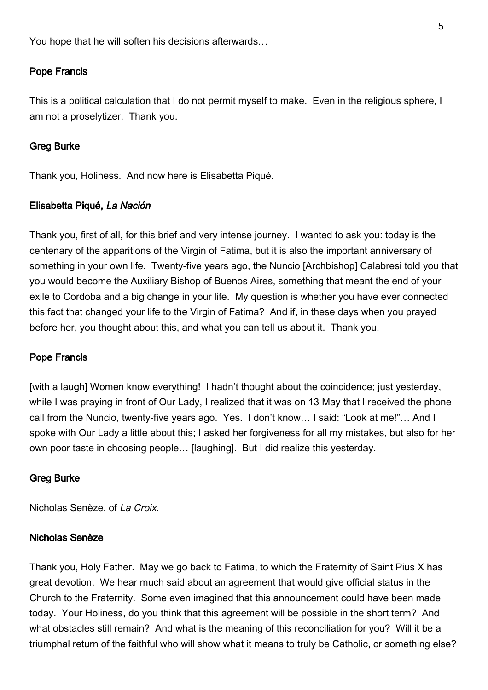You hope that he will soften his decisions afterwards…

### Pope Francis

This is a political calculation that I do not permit myself to make. Even in the religious sphere, I am not a proselytizer. Thank you.

#### Greg Burke

Thank you, Holiness. And now here is Elisabetta Piqué.

### Elisabetta Piqué, La Nación

Thank you, first of all, for this brief and very intense journey. I wanted to ask you: today is the centenary of the apparitions of the Virgin of Fatima, but it is also the important anniversary of something in your own life. Twenty-five years ago, the Nuncio [Archbishop] Calabresi told you that you would become the Auxiliary Bishop of Buenos Aires, something that meant the end of your exile to Cordoba and a big change in your life. My question is whether you have ever connected this fact that changed your life to the Virgin of Fatima? And if, in these days when you prayed before her, you thought about this, and what you can tell us about it. Thank you.

#### Pope Francis

[with a laugh] Women know everything! I hadn't thought about the coincidence; just yesterday, while I was praying in front of Our Lady, I realized that it was on 13 May that I received the phone call from the Nuncio, twenty-five years ago. Yes. I don't know… I said: "Look at me!"… And I spoke with Our Lady a little about this; I asked her forgiveness for all my mistakes, but also for her own poor taste in choosing people… [laughing]. But I did realize this yesterday.

#### Greg Burke

Nicholas Senèze, of La Croix.

### Nicholas Senèze

Thank you, Holy Father. May we go back to Fatima, to which the Fraternity of Saint Pius X has great devotion. We hear much said about an agreement that would give official status in the Church to the Fraternity. Some even imagined that this announcement could have been made today. Your Holiness, do you think that this agreement will be possible in the short term? And what obstacles still remain? And what is the meaning of this reconciliation for you? Will it be a triumphal return of the faithful who will show what it means to truly be Catholic, or something else?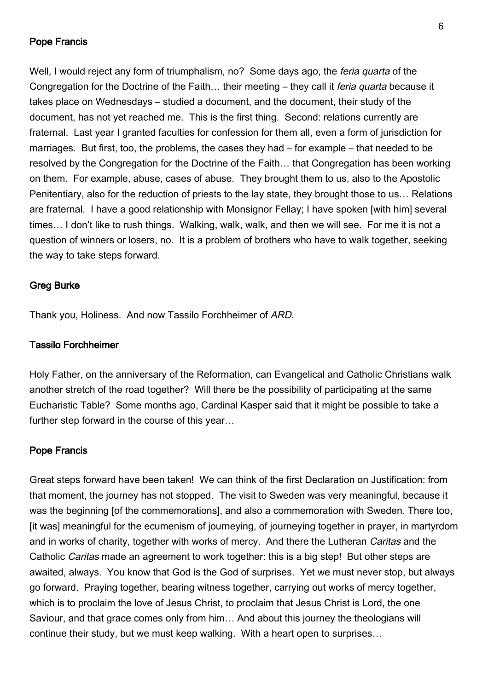### Pope Francis

Well, I would reject any form of triumphalism, no? Some days ago, the *feria quarta* of the Congregation for the Doctrine of the Faith… their meeting – they call it feria quarta because it takes place on Wednesdays – studied a document, and the document, their study of the document, has not yet reached me. This is the first thing. Second: relations currently are fraternal. Last year I granted faculties for confession for them all, even a form of jurisdiction for marriages. But first, too, the problems, the cases they had – for example – that needed to be resolved by the Congregation for the Doctrine of the Faith… that Congregation has been working on them. For example, abuse, cases of abuse. They brought them to us, also to the Apostolic Penitentiary, also for the reduction of priests to the lay state, they brought those to us… Relations are fraternal. I have a good relationship with Monsignor Fellay; I have spoken [with him] several times… I don't like to rush things. Walking, walk, walk, and then we will see. For me it is not a question of winners or losers, no. It is a problem of brothers who have to walk together, seeking the way to take steps forward.

#### Greg Burke

Thank you, Holiness. And now Tassilo Forchheimer of ARD.

#### Tassilo Forchheimer

Holy Father, on the anniversary of the Reformation, can Evangelical and Catholic Christians walk another stretch of the road together? Will there be the possibility of participating at the same Eucharistic Table? Some months ago, Cardinal Kasper said that it might be possible to take a further step forward in the course of this year…

#### Pope Francis

Great steps forward have been taken! We can think of the first Declaration on Justification: from that moment, the journey has not stopped. The visit to Sweden was very meaningful, because it was the beginning [of the commemorations], and also a commemoration with Sweden. There too, [it was] meaningful for the ecumenism of journeying, of journeying together in prayer, in martyrdom and in works of charity, together with works of mercy. And there the Lutheran Caritas and the Catholic Caritas made an agreement to work together: this is a big step! But other steps are awaited, always. You know that God is the God of surprises. Yet we must never stop, but always go forward. Praying together, bearing witness together, carrying out works of mercy together, which is to proclaim the love of Jesus Christ, to proclaim that Jesus Christ is Lord, the one Saviour, and that grace comes only from him… And about this journey the theologians will continue their study, but we must keep walking. With a heart open to surprises…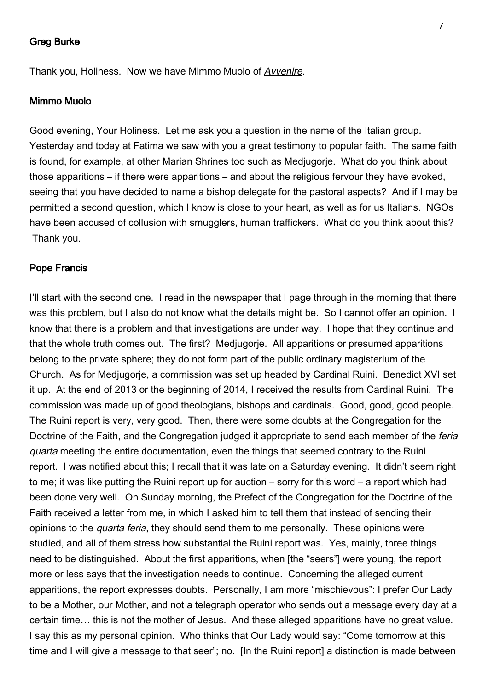### Greg Burke

Thank you, Holiness. Now we have Mimmo Muolo of Avvenire.

#### Mimmo Muolo

Good evening, Your Holiness. Let me ask you a question in the name of the Italian group. Yesterday and today at Fatima we saw with you a great testimony to popular faith. The same faith is found, for example, at other Marian Shrines too such as Medjugorje. What do you think about those apparitions – if there were apparitions – and about the religious fervour they have evoked, seeing that you have decided to name a bishop delegate for the pastoral aspects? And if I may be permitted a second question, which I know is close to your heart, as well as for us Italians. NGOs have been accused of collusion with smugglers, human traffickers. What do you think about this? Thank you.

#### Pope Francis

I'll start with the second one. I read in the newspaper that I page through in the morning that there was this problem, but I also do not know what the details might be. So I cannot offer an opinion. I know that there is a problem and that investigations are under way. I hope that they continue and that the whole truth comes out. The first? Medjugorje. All apparitions or presumed apparitions belong to the private sphere; they do not form part of the public ordinary magisterium of the Church. As for Medjugorje, a commission was set up headed by Cardinal Ruini. Benedict XVI set it up. At the end of 2013 or the beginning of 2014, I received the results from Cardinal Ruini. The commission was made up of good theologians, bishops and cardinals. Good, good, good people. The Ruini report is very, very good. Then, there were some doubts at the Congregation for the Doctrine of the Faith, and the Congregation judged it appropriate to send each member of the *feria* quarta meeting the entire documentation, even the things that seemed contrary to the Ruini report. I was notified about this; I recall that it was late on a Saturday evening. It didn't seem right to me; it was like putting the Ruini report up for auction – sorry for this word – a report which had been done very well. On Sunday morning, the Prefect of the Congregation for the Doctrine of the Faith received a letter from me, in which I asked him to tell them that instead of sending their opinions to the quarta feria, they should send them to me personally. These opinions were studied, and all of them stress how substantial the Ruini report was. Yes, mainly, three things need to be distinguished. About the first apparitions, when [the "seers"] were young, the report more or less says that the investigation needs to continue. Concerning the alleged current apparitions, the report expresses doubts. Personally, I am more "mischievous": I prefer Our Lady to be a Mother, our Mother, and not a telegraph operator who sends out a message every day at a certain time… this is not the mother of Jesus. And these alleged apparitions have no great value. I say this as my personal opinion. Who thinks that Our Lady would say: "Come tomorrow at this time and I will give a message to that seer"; no. In the Ruini report] a distinction is made between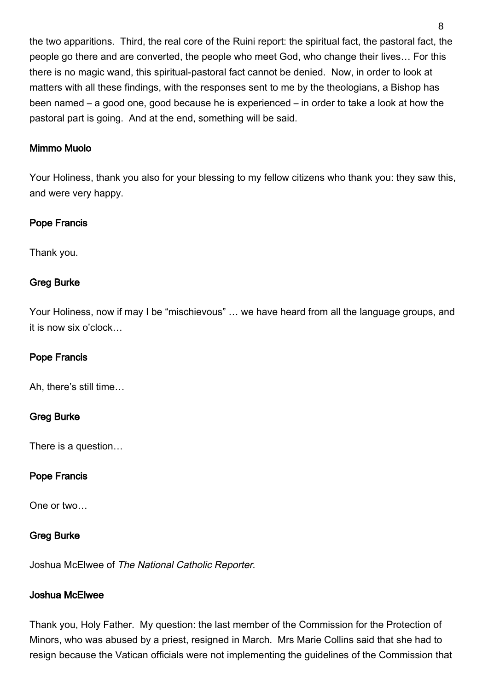the two apparitions. Third, the real core of the Ruini report: the spiritual fact, the pastoral fact, the people go there and are converted, the people who meet God, who change their lives… For this there is no magic wand, this spiritual-pastoral fact cannot be denied. Now, in order to look at matters with all these findings, with the responses sent to me by the theologians, a Bishop has been named – a good one, good because he is experienced – in order to take a look at how the pastoral part is going. And at the end, something will be said.

### Mimmo Muolo

Your Holiness, thank you also for your blessing to my fellow citizens who thank you: they saw this, and were very happy.

### Pope Francis

Thank you.

# Greg Burke

Your Holiness, now if may I be "mischievous" … we have heard from all the language groups, and it is now six o'clock…

# Pope Francis

Ah, there's still time…

# Greg Burke

There is a question…

# Pope Francis

One or two…

# Greg Burke

Joshua McElwee of The National Catholic Reporter.

### Joshua McElwee

Thank you, Holy Father. My question: the last member of the Commission for the Protection of Minors, who was abused by a priest, resigned in March. Mrs Marie Collins said that she had to resign because the Vatican officials were not implementing the guidelines of the Commission that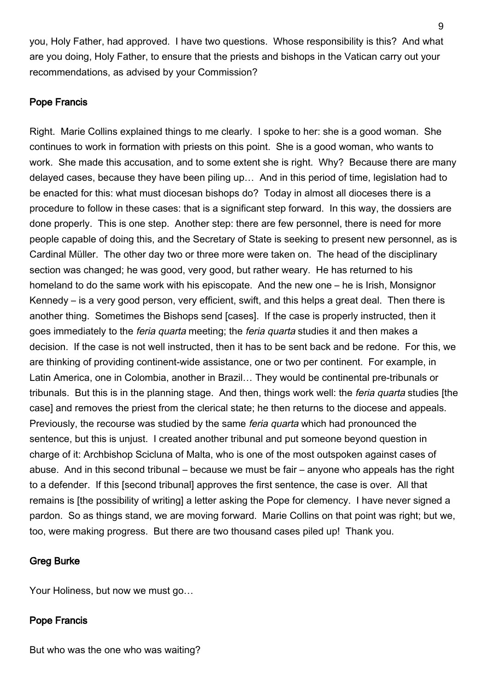you, Holy Father, had approved. I have two questions. Whose responsibility is this? And what are you doing, Holy Father, to ensure that the priests and bishops in the Vatican carry out your recommendations, as advised by your Commission?

### Pope Francis

Right. Marie Collins explained things to me clearly. I spoke to her: she is a good woman. She continues to work in formation with priests on this point. She is a good woman, who wants to work. She made this accusation, and to some extent she is right. Why? Because there are many delayed cases, because they have been piling up… And in this period of time, legislation had to be enacted for this: what must diocesan bishops do? Today in almost all dioceses there is a procedure to follow in these cases: that is a significant step forward. In this way, the dossiers are done properly. This is one step. Another step: there are few personnel, there is need for more people capable of doing this, and the Secretary of State is seeking to present new personnel, as is Cardinal Müller. The other day two or three more were taken on. The head of the disciplinary section was changed; he was good, very good, but rather weary. He has returned to his homeland to do the same work with his episcopate. And the new one – he is Irish, Monsignor Kennedy – is a very good person, very efficient, swift, and this helps a great deal. Then there is another thing. Sometimes the Bishops send [cases]. If the case is properly instructed, then it goes immediately to the *feria quarta* meeting; the *feria quarta* studies it and then makes a decision. If the case is not well instructed, then it has to be sent back and be redone. For this, we are thinking of providing continent-wide assistance, one or two per continent. For example, in Latin America, one in Colombia, another in Brazil… They would be continental pre-tribunals or tribunals. But this is in the planning stage. And then, things work well: the *feria quarta* studies [the case] and removes the priest from the clerical state; he then returns to the diocese and appeals. Previously, the recourse was studied by the same *feria quarta* which had pronounced the sentence, but this is unjust. I created another tribunal and put someone beyond question in charge of it: Archbishop Scicluna of Malta, who is one of the most outspoken against cases of abuse. And in this second tribunal – because we must be fair – anyone who appeals has the right to a defender. If this [second tribunal] approves the first sentence, the case is over. All that remains is [the possibility of writing] a letter asking the Pope for clemency. I have never signed a pardon. So as things stand, we are moving forward. Marie Collins on that point was right; but we, too, were making progress. But there are two thousand cases piled up! Thank you.

### Greg Burke

Your Holiness, but now we must go…

# Pope Francis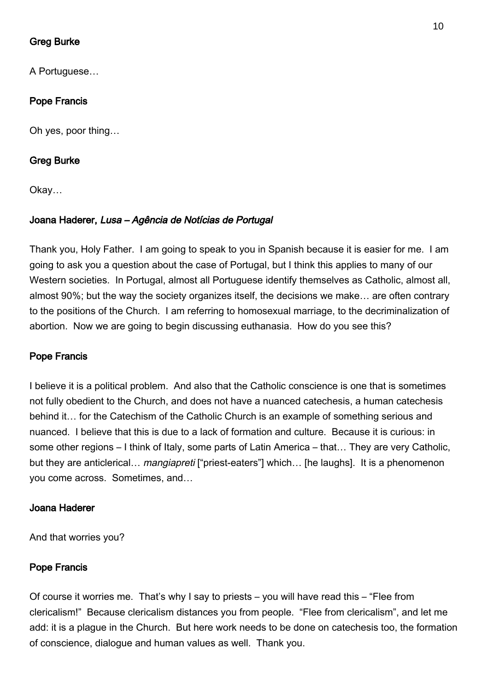# Greg Burke

A Portuguese…

## Pope Francis

Oh yes, poor thing…

### Greg Burke

Okay…

### Joana Haderer, Lusa – Agência de Notícias de Portugal

Thank you, Holy Father. I am going to speak to you in Spanish because it is easier for me. I am going to ask you a question about the case of Portugal, but I think this applies to many of our Western societies. In Portugal, almost all Portuguese identify themselves as Catholic, almost all, almost 90%; but the way the society organizes itself, the decisions we make… are often contrary to the positions of the Church. I am referring to homosexual marriage, to the decriminalization of abortion. Now we are going to begin discussing euthanasia. How do you see this?

#### Pope Francis

I believe it is a political problem. And also that the Catholic conscience is one that is sometimes not fully obedient to the Church, and does not have a nuanced catechesis, a human catechesis behind it… for the Catechism of the Catholic Church is an example of something serious and nuanced. I believe that this is due to a lack of formation and culture. Because it is curious: in some other regions – I think of Italy, some parts of Latin America – that… They are very Catholic, but they are anticlerical... *mangiapreti* ["priest-eaters"] which... [he laughs]. It is a phenomenon you come across. Sometimes, and…

#### Joana Haderer

And that worries you?

#### Pope Francis

Of course it worries me. That's why I say to priests – you will have read this – "Flee from clericalism!" Because clericalism distances you from people. "Flee from clericalism", and let me add: it is a plague in the Church. But here work needs to be done on catechesis too, the formation of conscience, dialogue and human values as well. Thank you.